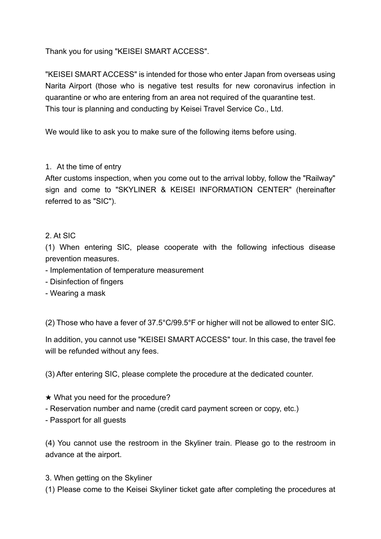Thank you for using "KEISEI SMART ACCESS".

"KEISEI SMART ACCESS" is intended for those who enter Japan from overseas using Narita Airport (those who is negative test results for new coronavirus infection in quarantine or who are entering from an area not required of the quarantine test. This tour is planning and conducting by Keisei Travel Service Co., Ltd.

We would like to ask you to make sure of the following items before using.

## 1. At the time of entry

After customs inspection, when you come out to the arrival lobby, follow the "Railway" sign and come to "SKYLINER & KEISEI INFORMATION CENTER" (hereinafter referred to as "SIC").

## 2. At SIC

(1) When entering SIC, please cooperate with the following infectious disease prevention measures.

- Implementation of temperature measurement
- Disinfection of fingers
- Wearing a mask

(2) Those who have a fever of 37.5°C/99.5°F or higher will not be allowed to enter SIC.

In addition, you cannot use "KEISEI SMART ACCESS" tour. In this case, the travel fee will be refunded without any fees.

(3) After entering SIC, please complete the procedure at the dedicated counter.

- $\star$  What you need for the procedure?
- Reservation number and name (credit card payment screen or copy, etc.)
- Passport for all guests

(4) You cannot use the restroom in the Skyliner train. Please go to the restroom in advance at the airport.

3. When getting on the Skyliner

(1) Please come to the Keisei Skyliner ticket gate after completing the procedures at